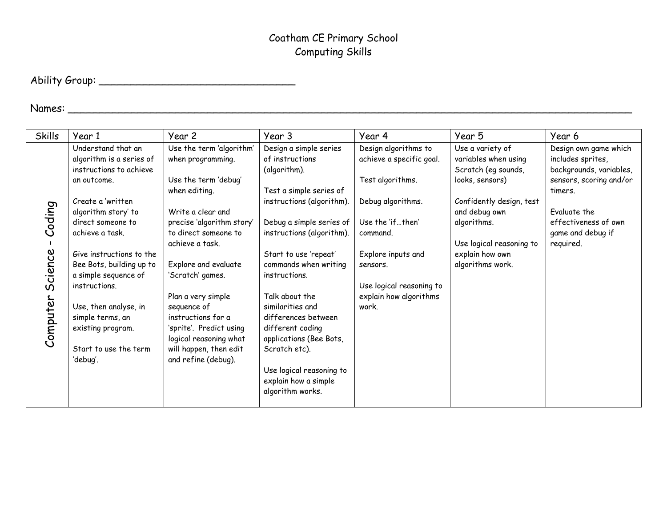# Ability Group: \_\_\_\_\_\_\_\_\_\_\_\_\_\_\_\_\_\_\_\_\_\_\_\_\_\_\_\_\_\_\_

## Names: \_\_\_\_\_\_\_\_\_\_\_\_\_\_\_\_\_\_\_\_\_\_\_\_\_\_\_\_\_\_\_\_\_\_\_\_\_\_\_\_\_\_\_\_\_\_\_\_\_\_\_\_\_\_\_\_\_\_\_\_\_\_\_\_\_\_\_\_\_\_\_\_\_\_\_\_\_\_\_\_\_\_\_\_\_\_\_\_\_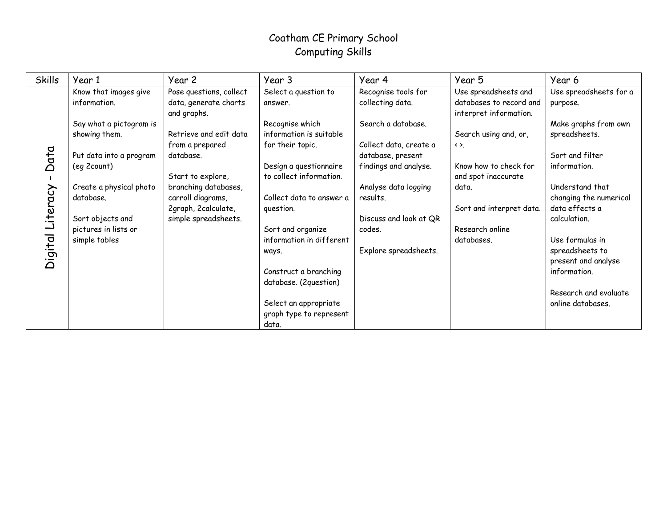| <b>Skills</b>    | Year 1                                | Year 2                                                          | Year 3                          | Year 4                                  | Year 5                                                                    | Year 6                             |
|------------------|---------------------------------------|-----------------------------------------------------------------|---------------------------------|-----------------------------------------|---------------------------------------------------------------------------|------------------------------------|
|                  | Know that images give<br>information. | Pose questions, collect<br>data, generate charts<br>and graphs. | Select a question to<br>answer. | Recognise tools for<br>collecting data. | Use spreadsheets and<br>databases to record and<br>interpret information. | Use spreadsheets for a<br>purpose. |
|                  | Say what a pictogram is               |                                                                 | Recognise which                 | Search a database.                      |                                                                           | Make graphs from own               |
|                  | showing them.                         | Retrieve and edit data                                          | information is suitable         |                                         | Search using and, or,                                                     | spreadsheets.                      |
|                  |                                       | from a prepared                                                 | for their topic.                | Collect data, create a                  | $\leftrightarrow$ .                                                       |                                    |
| Data             | Put data into a program               | database.                                                       |                                 | database, present                       |                                                                           | Sort and filter                    |
|                  | (eq 2count)                           |                                                                 | Design a questionnaire          | findings and analyse.                   | Know how to check for                                                     | information.                       |
|                  |                                       | Start to explore,                                               | to collect information.         |                                         | and spot inaccurate                                                       |                                    |
|                  | Create a physical photo               | branching databases,                                            |                                 | Analyse data logging                    | data.                                                                     | Understand that                    |
|                  | database.                             | carroll diagrams,                                               | Collect data to answer a        | results.                                |                                                                           | changing the numerical             |
|                  |                                       | 2graph, 2calculate,                                             | question.                       |                                         | Sort and interpret data.                                                  | data effects a                     |
|                  | Sort objects and                      | simple spreadsheets.                                            |                                 | Discuss and look at QR                  |                                                                           | calculation.                       |
|                  | pictures in lists or                  |                                                                 | Sort and organize               | codes.                                  | Research online                                                           |                                    |
|                  | simple tables                         |                                                                 | information in different        |                                         | databases.                                                                | Use formulas in                    |
|                  |                                       |                                                                 | ways.                           | Explore spreadsheets.                   |                                                                           | spreadsheets to                    |
| Digital Literacy |                                       |                                                                 |                                 |                                         |                                                                           | present and analyse                |
|                  |                                       |                                                                 | Construct a branching           |                                         |                                                                           | information.                       |
|                  |                                       |                                                                 | database. (2question)           |                                         |                                                                           |                                    |
|                  |                                       |                                                                 |                                 |                                         |                                                                           | Research and evaluate              |
|                  |                                       |                                                                 | Select an appropriate           |                                         |                                                                           | online databases.                  |
|                  |                                       |                                                                 | graph type to represent         |                                         |                                                                           |                                    |
|                  |                                       |                                                                 | data.                           |                                         |                                                                           |                                    |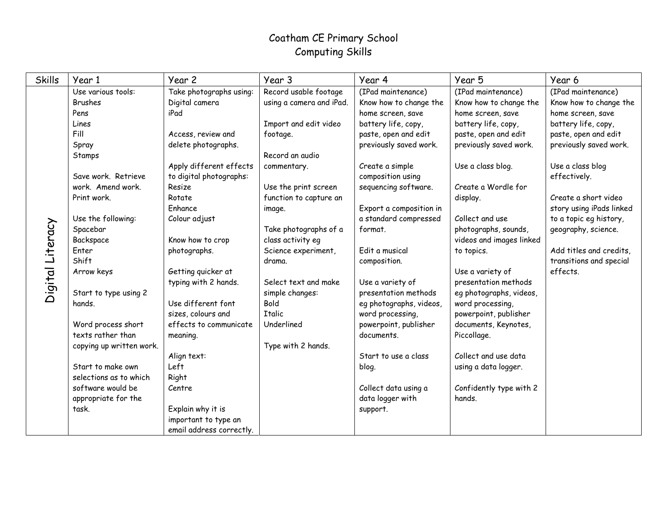| <b>Skills</b>    | Year 1                   | Year 2                   | Year 3                   | Year 4                  | Year 5                   | Year 6                   |
|------------------|--------------------------|--------------------------|--------------------------|-------------------------|--------------------------|--------------------------|
|                  | Use various tools:       | Take photographs using:  | Record usable footage    | (IPad maintenance)      | (IPad maintenance)       | (IPad maintenance)       |
|                  | <b>Brushes</b>           | Digital camera           | using a camera and iPad. | Know how to change the  | Know how to change the   | Know how to change the   |
|                  | Pens                     | iPad                     |                          | home screen, save       | home screen, save        | home screen, save        |
|                  | Lines                    |                          | Import and edit video    | battery life, copy,     | battery life, copy,      | battery life, copy,      |
|                  | Fill                     | Access, review and       | footage.                 | paste, open and edit    | paste, open and edit     | paste, open and edit     |
|                  | Spray                    | delete photographs.      |                          | previously saved work.  | previously saved work.   | previously saved work.   |
|                  | Stamps                   |                          | Record an audio          |                         |                          |                          |
|                  |                          | Apply different effects  | commentary.              | Create a simple         | Use a class blog.        | Use a class blog         |
|                  | Save work, Retrieve      | to digital photographs:  |                          | composition using       |                          | effectively.             |
|                  | work. Amend work.        | Resize                   | Use the print screen     | sequencing software.    | Create a Wordle for      |                          |
|                  | Print work.              | Rotate                   | function to capture an   |                         | display.                 | Create a short video     |
|                  |                          | Enhance                  | image.                   | Export a composition in |                          | story using iPads linked |
|                  | Use the following:       | Colour adjust            |                          | a standard compressed   | Collect and use          | to a topic eg history,   |
|                  | Spacebar                 |                          | Take photographs of a    | format.                 | photographs, sounds,     | geography, science.      |
|                  | Backspace                | Know how to crop         | class activity eg        |                         | videos and images linked |                          |
|                  | Enter                    | photographs.             | Science experiment,      | Edit a musical          | to topics.               | Add titles and credits,  |
| Digital Literacy | Shift                    |                          | drama.                   | composition.            |                          | transitions and special  |
|                  | Arrow keys               | Getting quicker at       |                          |                         | Use a variety of         | effects.                 |
|                  |                          | typing with 2 hands.     | Select text and make     | Use a variety of        | presentation methods     |                          |
|                  | Start to type using 2    |                          | simple changes:          | presentation methods    | eg photographs, videos,  |                          |
|                  | hands.                   | Use different font       | Bold                     | eg photographs, videos, | word processing,         |                          |
|                  |                          | sizes, colours and       | <b>Italic</b>            | word processing,        | powerpoint, publisher    |                          |
|                  | Word process short       | effects to communicate   | Underlined               | powerpoint, publisher   | documents, Keynotes,     |                          |
|                  | texts rather than        | meaning.                 |                          | documents.              | Piccollage.              |                          |
|                  | copying up written work. |                          | Type with 2 hands.       |                         |                          |                          |
|                  |                          | Align text:              |                          | Start to use a class    | Collect and use data     |                          |
|                  | Start to make own        | Left                     |                          | blog.                   | using a data logger.     |                          |
|                  | selections as to which   | Right                    |                          |                         |                          |                          |
|                  | software would be        | Centre                   |                          | Collect data using a    | Confidently type with 2  |                          |
|                  | appropriate for the      |                          |                          | data logger with        | hands.                   |                          |
|                  | task.                    | Explain why it is        |                          | support.                |                          |                          |
|                  |                          | important to type an     |                          |                         |                          |                          |
|                  |                          | email address correctly. |                          |                         |                          |                          |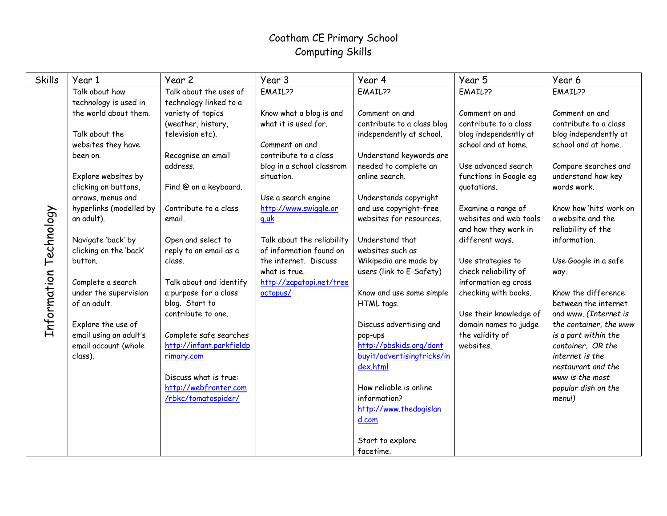| <b>Skills</b>          | Year 1                                         | Year 2                                             | Year 3                     | Year 4                             | Year 5                                   | Year 6                                    |
|------------------------|------------------------------------------------|----------------------------------------------------|----------------------------|------------------------------------|------------------------------------------|-------------------------------------------|
|                        | Talk about how                                 | Talk about the uses of                             | EMAIL??                    | EMAIL??                            | EMAIL??                                  | EMAIL??                                   |
|                        | technology is used in                          | technology linked to a                             |                            |                                    |                                          |                                           |
|                        | the world about them.                          | variety of topics                                  | Know what a blog is and    | Comment on and                     | Comment on and                           | Comment on and                            |
|                        |                                                | (weather, history,                                 | what it is used for.       | contribute to a class blog         | contribute to a class                    | contribute to a class                     |
|                        | Talk about the                                 | television etc).                                   |                            | independently at school.           | blog independently at                    | blog independently at                     |
|                        | websites they have                             |                                                    | Comment on and             |                                    | school and at home.                      | school and at home.                       |
|                        | been on.                                       | Recognise an email                                 | contribute to a class      | Understand keywords are            |                                          |                                           |
|                        |                                                | address.                                           | blog in a school classrom  | needed to complete an              | Use advanced search                      | Compare searches and                      |
|                        | Explore websites by                            |                                                    | situation.                 | online search.                     | functions in Google eq                   | understand how key                        |
|                        | clicking on buttons,                           | Find @ on a keyboard.                              |                            |                                    | quotations.                              | words work.                               |
|                        | arrows, menus and                              |                                                    | Use a search engine        | Understands copyright              |                                          |                                           |
|                        | hyperlinks (modelled by                        | Contribute to a class                              | http://www.swiggle.or      | and use copyright-free             | Examine a range of                       | Know how 'hits' work on                   |
| Information Technology | an adult).                                     | email.                                             | q.uk                       | websites for resources.            | websites and web tools                   | a website and the                         |
|                        |                                                |                                                    |                            |                                    | and how they work in                     | reliability of the                        |
|                        | Navigate 'back' by                             | Open and select to                                 | Talk about the reliability | Understand that                    | different ways.                          | information.                              |
|                        | clicking on the 'back'                         | reply to an email as a                             | of information found on    | websites such as                   |                                          |                                           |
|                        | button.                                        | class.                                             | the internet. Discuss      | Wikipedia are made by              | Use strategies to                        | Use Google in a safe                      |
|                        |                                                |                                                    | what is true.              | users (link to E-Safety)           | check reliability of                     | way.                                      |
|                        | Complete a search                              | Talk about and identify                            | http://zapatopi.net/tree   |                                    | information eg cross                     |                                           |
|                        | under the supervision                          | a purpose for a class                              | octopus/                   | Know and use some simple           | checking with books.                     | Know the difference                       |
|                        | of an adult.                                   | blog. Start to                                     |                            | HTML tags.                         |                                          | between the internet                      |
|                        |                                                | contribute to one.                                 |                            |                                    | Use their knowledge of                   | and www. (Internet is                     |
|                        | Explore the use of                             |                                                    |                            | Discuss advertising and            | domain names to judge<br>the validity of | the container, the www                    |
|                        | email using an adult's<br>email account (whole | Complete safe searches<br>http://infant.parkfieldp |                            | pop-ups<br>http://pbskids.org/dont | websites.                                | is a part within the<br>container. OR the |
|                        | class).                                        | rimary.com                                         |                            | buyit/advertisingtricks/in         |                                          | internet is the                           |
|                        |                                                |                                                    |                            | dex.html                           |                                          | restaurant and the                        |
|                        |                                                | Discuss what is true:                              |                            |                                    |                                          | www is the most                           |
|                        |                                                | http://webfronter.com                              |                            | How reliable is online             |                                          | popular dish on the                       |
|                        |                                                | /rbkc/tomatospider/                                |                            | information?                       |                                          | menu!)                                    |
|                        |                                                |                                                    |                            | http://www.thedogislan             |                                          |                                           |
|                        |                                                |                                                    |                            | d.com                              |                                          |                                           |
|                        |                                                |                                                    |                            |                                    |                                          |                                           |
|                        |                                                |                                                    |                            | Start to explore                   |                                          |                                           |
|                        |                                                |                                                    |                            | facetime.                          |                                          |                                           |